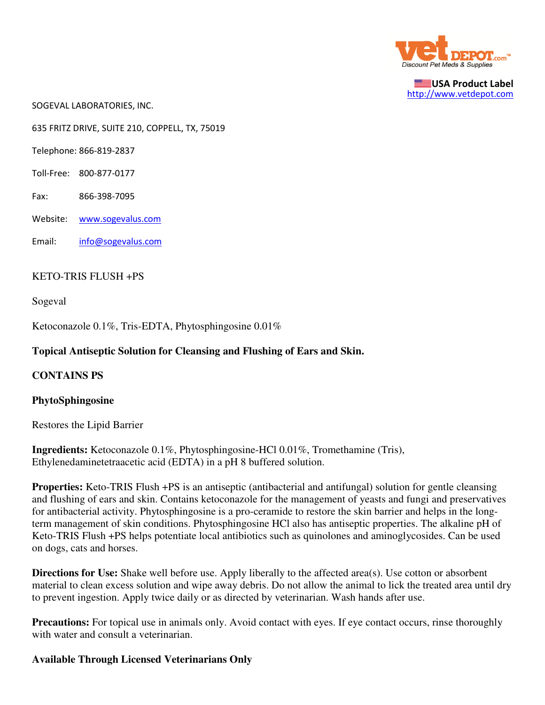

USA Product Label http://www.vetdepot.com

SOGEVAL LABORATORIES, INC.

635 FRITZ DRIVE, SUITE 210, COPPELL, TX, 75019

Telephone: 866-819-2837

- Toll-Free: 800-877-0177
- Fax: 866-398-7095
- Website: www.sogevalus.com

Email: info@sogevalus.com

## KETO-TRIS FLUSH +PS

Sogeval

Ketoconazole 0.1%, Tris-EDTA, Phytosphingosine 0.01%

# **Topical Antiseptic Solution for Cleansing and Flushing of Ears and Skin.**

### **CONTAINS PS**

### **PhytoSphingosine**

Restores the Lipid Barrier

**Ingredients:** Ketoconazole 0.1%, Phytosphingosine-HCl 0.01%, Tromethamine (Tris), Ethylenedaminetetraacetic acid (EDTA) in a pH 8 buffered solution.

**Properties:** Keto-TRIS Flush +PS is an antiseptic (antibacterial and antifungal) solution for gentle cleansing and flushing of ears and skin. Contains ketoconazole for the management of yeasts and fungi and preservatives for antibacterial activity. Phytosphingosine is a pro-ceramide to restore the skin barrier and helps in the longterm management of skin conditions. Phytosphingosine HCl also has antiseptic properties. The alkaline pH of Keto-TRIS Flush +PS helps potentiate local antibiotics such as quinolones and aminoglycosides. Can be used on dogs, cats and horses.

**Directions for Use:** Shake well before use. Apply liberally to the affected area(s). Use cotton or absorbent material to clean excess solution and wipe away debris. Do not allow the animal to lick the treated area until dry to prevent ingestion. Apply twice daily or as directed by veterinarian. Wash hands after use.

**Precautions:** For topical use in animals only. Avoid contact with eyes. If eye contact occurs, rinse thoroughly with water and consult a veterinarian.

### **Available Through Licensed Veterinarians Only**